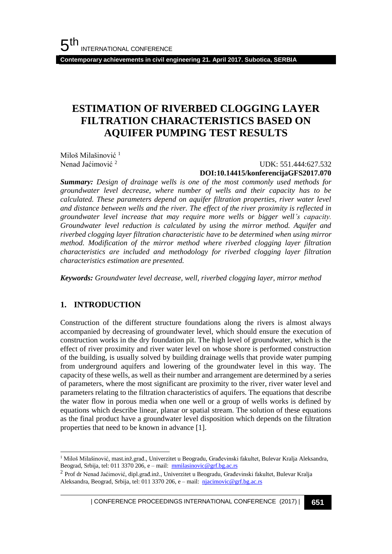**Contemporary achievements in civil engineering 21. April 2017. Subotica, SERBIA**

## **ESTIMATION OF RIVERBED CLOGGING LAYER FILTRATION CHARACTERISTICS BASED ON AQUIFER PUMPING TEST RESULTS**

Miloš Milašinović<sup>1</sup> Nenad Jaćimović <sup>2</sup>

 UDK: 551.444:627.532 **DOI:10.14415/konferencijaGFS2017.070**

*Summary: Design of drainage wells is one of the most commonly used methods for groundwater level decrease, where number of wells and their capacity has to be calculated. These parameters depend on aquifer filtration properties, river water level and distance between wells and the river. The effect of the river proximity is reflected in groundwater level increase that may require more wells or bigger well's capacity. Groundwater level reduction is calculated by using the mirror method. Aquifer and riverbed clogging layer filtration characteristic have to be determined when using mirror method. Modification of the mirror method where riverbed clogging layer filtration characteristics are included and methodology for riverbed clogging layer filtration characteristics estimation are presented.*

*Keywords: Groundwater level decrease, well, riverbed clogging layer, mirror method*

#### **1. INTRODUCTION**

l

Construction of the different structure foundations along the rivers is almost always accompanied by decreasing of groundwater level, which should ensure the execution of construction works in the dry foundation pit. The high level of groundwater, which is the effect of river proximity and river water level on whose shore is performed construction of the building, is usually solved by building drainage wells that provide water pumping from underground aquifers and lowering of the groundwater level in this way. The capacity of these wells, as well as their number and arrangement are determined by a series of parameters, where the most significant are proximity to the river, river water level and parameters relating to the filtration characteristics of aquifers. The equations that describe the water flow in porous media when one well or a group of wells works is defined by equations which describe linear, planar or spatial stream. The solution of these equations as the final product have a groundwater level disposition which depends on the filtration properties that need to be known in advance [1].

<sup>1</sup> Miloš Milašinović, mast.inž.građ., Univerzitet u Beogradu, Građevinski fakultet, Bulevar Kralja Aleksandra, Beograd, Srbija, tel: 011 3370 206, e – mail: [mmilasinovic@grf.bg.ac.rs](mailto:mmilasinovic@grf.bg.ac.rs)

| CONFERENCE PROCEEDINGS INTERNATIONAL CONFERENCE (2017) <sup>|</sup>**651**

<sup>&</sup>lt;sup>2</sup> Prof dr Nenad Jaćimović, dipl.građ.inž., Univerzitet u Beogradu, Građevinski fakultet, Bulevar Kralja Aleksandra, Beograd, Srbija, tel: 011 3370 206, e – mail: [njacimovic@grf.bg.ac.rs](mailto:njacimovic@grf.bg.ac.rs)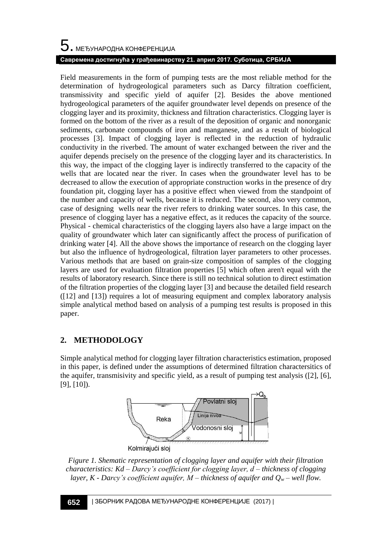# $\mathbf 5$ . међународна конференција **Савремена достигнућа у грађевинарству 21. април 2017. Суботица, СРБИЈА**

Field measurements in the form of pumping tests are the most reliable method for the determination of hydrogeological parameters such as Darcy filtration coefficient, transmissivity and specific yield of aquifer [2]. Besides the above mentioned hydrogeological parameters of the aquifer groundwater level depends on presence of the clogging layer and its proximity, thickness and filtration characteristics. Clogging layer is formed on the bottom of the river as a result of the deposition of organic and nonorganic sediments, carbonate compounds of iron and manganese, and as a result of biological processes [3]. Impact of clogging layer is reflected in the reduction of hydraulic conductivity in the riverbed. The amount of water exchanged between the river and the aquifer depends precisely on the presence of the clogging layer and its characteristics. In this way, the impact of the clogging layer is indirectly transferred to the capacity of the wells that are located near the river. In cases when the groundwater level has to be decreased to allow the execution of appropriate construction works in the presence of dry foundation pit, clogging layer has a positive effect when viewed from the standpoint of the number and capacity of wells, because it is reduced. The second, also very common, case of designing wells near the river refers to drinking water sources. In this case, the presence of clogging layer has a negative effect, as it reduces the capacity of the source. Physical - chemical characteristics of the clogging layers also have a large impact on the quality of groundwater which later can significantly affect the process of purification of drinking water [4]. All the above shows the importance of research on the clogging layer but also the influence of hydrogeological, filtration layer parameters to other processes. Various methods that are based on grain-size composition of samples of the clogging layers are used for evaluation filtration properties [5] which often aren't equal with the results of laboratory research. Since there is still no technical solution to direct estimation of the filtration properties of the clogging layer [3] and because the detailed field research ([12] and [13]) requires a lot of measuring equipment and complex laboratory analysis simple analytical method based on analysis of a pumping test results is proposed in this paper.

### **2. METHODOLOGY**

Simple analytical method for clogging layer filtration characteristics estimation, proposed in this paper, is defined under the assumptions of determined filtration charactersitics of the aquifer, transmisivity and specific yield, as a result of pumping test analysis  $(2]$ , [6], [9], [10]).



*Figure 1. Shematic representation of clogging layer and aquifer with their filtration characteristics: Kd – Darcy's coefficient for clogging layer, d – thickness of clogging layer, K - Darcy's coefficient aquifer, M – thickness of aquifer and Q<sup>w</sup> – well flow.*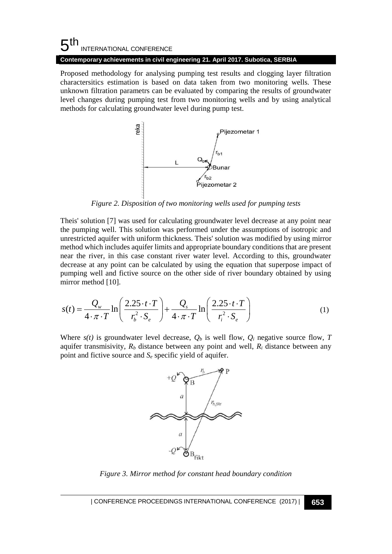#### 5 th INTERNATIONAL CONFERENCE **Contemporary achievements in civil engineering 21. April 2017. Subotica, SERBIA**

Proposed methodology for analysing pumping test results and clogging layer filtration charactersitics estimation is based on data taken from two monitoring wells. These unknown filtration parametrs can be evaluated by comparing the results of groundwater level changes during pumping test from two monitoring wells and by using analytical methods for calculating groundwater level during pump test.



*Figure 2. Disposition of two monitoring wells used for pumping tests*

Theis' solution [7] was used for calculating groundwater level decrease at any point near the pumping well. This solution was performed under the assumptions of isotropic and unrestricted aquifer with uniform thickness. Theis' solution was modified by using mirror method which includes aquifer limits and appropriate boundary conditions that are present near the river, in this case constant river water level. According to this, groundwater decrease at any point can be calculated by using the equation that superpose impact of pumping well and fictive source on the other side of river boundary obtained by using mirror method [10].

mirror method [10].  
\n
$$
s(t) = \frac{Q_w}{4 \cdot \pi \cdot T} \ln \left( \frac{2.25 \cdot t \cdot T}{r_b^2 \cdot S_e} \right) + \frac{Q_s}{4 \cdot \pi \cdot T} \ln \left( \frac{2.25 \cdot t \cdot T}{r_i^2 \cdot S_e} \right)
$$
\n(1)

Where  $s(t)$  is groundwater level decrease,  $Q_b$  is well flow,  $Q_i$  negative source flow,  $T$ aquifer transmisivity,  $R_b$  distance between any point and well,  $R_i$  distance between any point and fictive source and *S<sup>e</sup>* specific yield of aquifer.



*Figure 3. Mirror method for constant head boundary condition*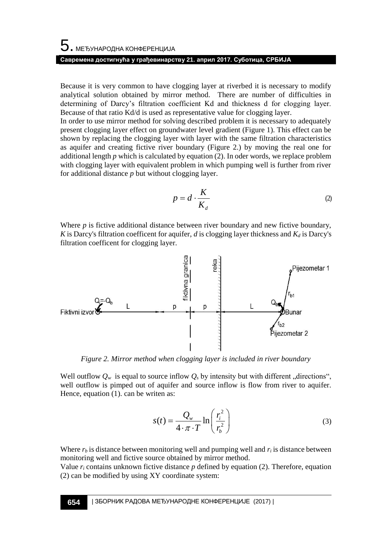Because it is very common to have clogging layer at riverbed it is necessary to modify analytical solution obtained by mirror method. There are number of difficulties in determining of Darcy's filtration coefficient Kd and thickness d for clogging layer. Because of that ratio Kd/d is used as representative value for clogging layer.

In order to use mirror method for solving described problem it is necessary to adequately present clogging layer effect on groundwater level gradient (Figure 1). This effect can be shown by replacing the clogging layer with layer with the same filtration characteristics as aquifer and creating fictive river boundary (Figure 2.) by moving the real one for additional length  $p$  which is calculated by equation (2). In oder words, we replace problem with clogging layer with equivalent problem in which pumping well is further from river for additional distance *p* but without clogging layer.

$$
p = d \cdot \frac{K}{K_d} \tag{2}
$$

Where  $p$  is fictive additional distance between river boundary and new fictive boundary, *K* is Darcy's filtration coefficent for aquifer, *d* is clogging layer thickness and *K<sup>d</sup>* is Darcy's filtration coefficent for clogging layer.



*Figure 2. Mirror method when clogging layer is included in river boundary*

Well outflow  $Q_w$  is equal to source inflow  $Q_s$  by intensity but with different "directions", well outflow is pimped out of aquifer and source inflow is flow from river to aquifer. Hence, equation (1). can be writen as:

$$
s(t) = \frac{Q_w}{4 \cdot \pi \cdot T} \ln\left(\frac{r_i^2}{r_b^2}\right)
$$
 (3)

Where  $r_b$  is distance between monitoring well and pumping well and  $r_i$  is distance between monitoring well and fictive source obtained by mirror method.

Value  $r_i$  contains unknown fictive distance  $p$  defined by equation (2). Therefore, equation (2) can be modified by using XY coordinate system: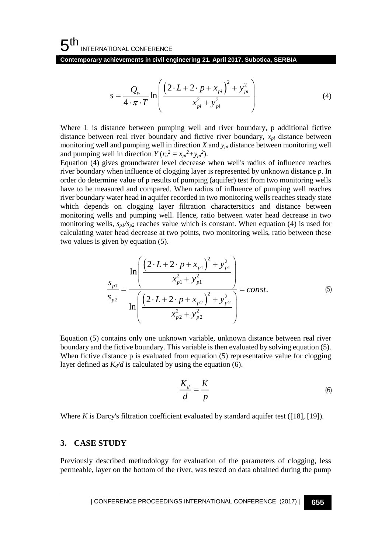**Contemporary achievements in civil engineering 21. April 2017. Subotica, SERBIA**

$$
s = \frac{Q_w}{4 \cdot \pi \cdot T} \ln \left( \frac{\left(2 \cdot L + 2 \cdot p + x_{pi}\right)^2 + y_{pi}^2}{x_{pi}^2 + y_{pi}^2} \right)
$$
(4)

Where L is distance between pumping well and river boundary, p additional fictive distance between real river boundary and fictive river boundary,  $x_{pi}$  distance between monitoring well and pumping well in direction *X* and *ypi* distance between monitoring well and pumping well in direction  $Y (r_b^2 = x_{pi}^2 + y_{pi}^2)$ .

 $s = \frac{Q_w}{4 + \pi \cdot T} \ln \left[ \frac{(2 \cdot L + 2 \cdot P + x_w) + y_w^2}{x_w^2 + y_w^2} \right]$ <br>
1. is distance between pumping well and river boundary, p additional fiest<br>
be between real rive boundary and richter sine between positions  $y_w$  distance betwe Equation (4) gives groundwater level decrease when well's radius of influence reaches river boundary when influence of clogging layer is represented by unknown distance *p*. In order do determine value of p results of pumping (aquifer) test from two monitoring wells have to be measured and compared. When radius of influence of pumping well reaches river boundary water head in aquifer recorded in two monitoring wells reaches steady state which depends on clogging layer filtration charactersitics and distance between monitoring wells and pumping well. Hence, ratio between water head decrease in two monitoring wells,  $s_{p1}/s_{p2}$  reaches value which is constant. When equation (4) is used for calculating water head decrease at two points, two monitoring wells, ratio between these two values is given by equation (5).

$$
s_{p1} = \frac{\ln\left(\frac{(2 \cdot L + 2 \cdot p + x_{p1})^2 + y_{p1}^2}{x_{p1}^2 + y_{p1}^2}\right)}{\ln\left(\frac{(2 \cdot L + 2 \cdot p + x_{p2})^2 + y_{p2}^2}{x_{p2}^2 + y_{p2}^2}\right)} = const.
$$
\n(5)

Equation (5) contains only one unknown variable, unknown distance between real river boundary and the fictive boundary. This variable is then evaluated by solving equation (5). When fictive distance p is evaluated from equation (5) representative value for clogging layer defined as  $K_d/d$  is calculated by using the equation (6).

$$
\frac{K_d}{d} = \frac{K}{p} \tag{6}
$$

Where *K* is Darcy's filtration coefficient evaluated by standard aquifer test ([18], [19]).

#### **3. CASE STUDY**

Previously described methodology for evaluation of the parameters of clogging, less permeable, layer on the bottom of the river, was tested on data obtained during the pump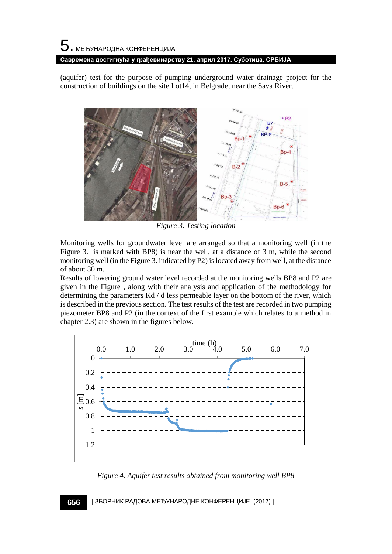(aquifer) test for the purpose of pumping underground water drainage project for the construction of buildings on the site Lot14, in Belgrade, near the Sava River.



*Figure 3. Testing location*

Monitoring wells for groundwater level are arranged so that a monitoring well (in the Figure 3. is marked with BP8) is near the well, at a distance of 3 m, while the second monitoring well (in the Figure 3. indicated by P2) is located away from well, at the distance of about 30 m.

Results of lowering ground water level recorded at the monitoring wells BP8 and P2 are given in the Figure , along with their analysis and application of the methodology for determining the parameters Kd / d less permeable layer on the bottom of the river, which is described in the previous section. The test results of the test are recorded in two pumping piezometer BP8 and P2 (in the context of the first example which relates to a method in chapter 2.3) are shown in the figures below.



*Figure 4. Aquifer test results obtained from monitoring well BP8*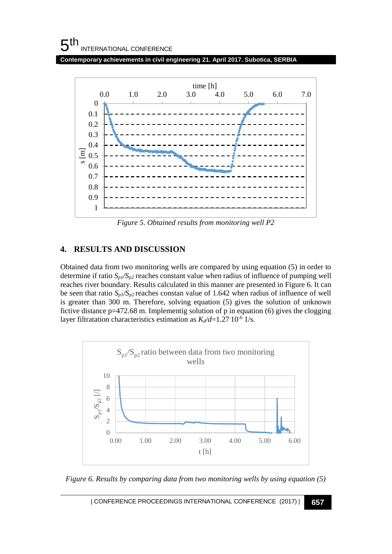#### $5<sup>th</sup>$ INTERNATIONAL CONFERENCE

**Contemporary achievements in civil engineering 21. April 2017. Subotica, SERBIA**



*Figure 5. Obtained results from monitoring well P2*

#### **4. RESULTS AND DISCUSSION**

Obtained data from two monitoring wells are compared by using equation (5) in order to determine if ratio  $S_p$ / $S_p$ <sub>2</sub> reaches constant value when radius of influence of pumping well reaches river boundary. Results calculated in this manner are presented in Figure 6. It can be seen that ratio  $S_p$ / $S_p$ <sub>2</sub> reaches constan value of 1.642 when radius of influence of well is greater than 300 m. Therefore, solving equation (5) gives the solution of unknown fictive distance p=472.68 m. Implementig solution of p in equation (6) gives the clogging layer filtratation characteristics estimation as  $K_d/d = 1.27 \cdot 10^{-6}$  1/s.



*Figure 6. Results by comparing data from two monitoring wells by using equation (5)*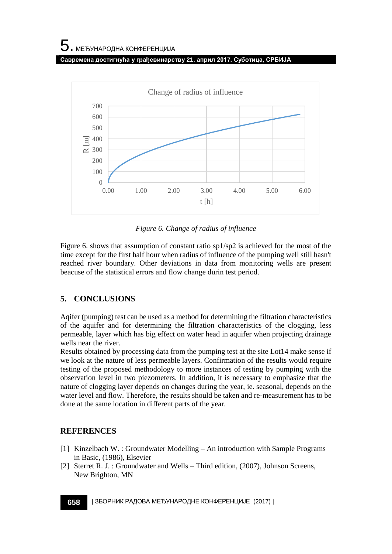**Савремена достигнућа у грађевинарству 21. април 2017. Суботица, СРБИЈА**



*Figure 6. Change of radius of influence*

Figure 6. shows that assumption of constant ratio sp1/sp2 is achieved for the most of the time except for the first half hour when radius of influence of the pumping well still hasn't reached river boundary. Other deviations in data from monitoring wells are present beacuse of the statistical errors and flow change durin test period.

### **5. CONCLUSIONS**

Aqifer (pumping) test can be used as a method for determining the filtration characteristics of the aquifer and for determining the filtration characteristics of the clogging, less permeable, layer which has big effect on water head in aquifer when projecting drainage wells near the river.

Results obtained by processing data from the pumping test at the site Lot14 make sense if we look at the nature of less permeable layers. Confirmation of the results would require testing of the proposed methodology to more instances of testing by pumping with the observation level in two piezometers. In addition, it is necessary to emphasize that the nature of clogging layer depends on changes during the year, ie. seasonal, depends on the water level and flow. Therefore, the results should be taken and re-measurement has to be done at the same location in different parts of the year.

#### **REFERENCES**

- [1] Kinzelbach W. : Groundwater Modelling An introduction with Sample Programs in Basic, (1986), Elsevier
- [2] Sterret R. J. : Groundwater and Wells Third edition, (2007), Johnson Screens, New Brighton, MN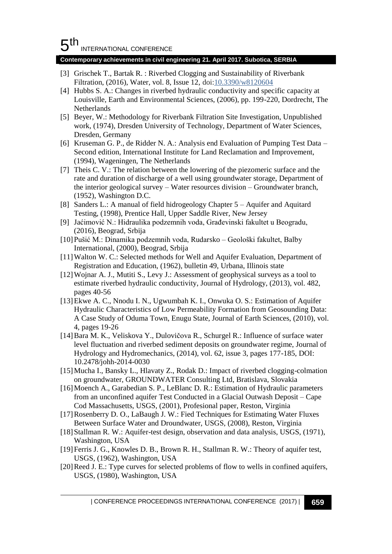#### 5 th INTERNATIONAL CONFERENCE

#### **Contemporary achievements in civil engineering 21. April 2017. Subotica, SERBIA**

- [3] Grischek T., Bartak R. : Riverbed Clogging and Sustainability of Riverbank Filtration, (2016), Water, vol. 8, Issue 12, doi[:10.3390/w8120604](http://dx.doi.org/10.3390/w8120604)
- [4] Hubbs S. A.: Changes in riverbed hydraulic conductivity and specific capacity at Louisville, Earth and Environmental Sciences, (2006), pp. 199-220, Dordrecht, The Netherlands
- [5] Beyer, W.: Methodology for Riverbank Filtration Site Investigation, Unpublished work, (1974), Dresden University of Technology, Department of Water Sciences, Dresden, Germany
- [6] Kruseman G. P., de Ridder N. A.: Analysis end Evaluation of Pumping Test Data Second edition, International Institute for Land Reclamation and Improvement, (1994), Wageningen, The Netherlands
- [7] Theis C. V.: The relation between the lowering of the piezomeric surface and the rate and duration of discharge of a well using groundwater storage, Department of the interior geological survey – Water resources division – Groundwater branch, (1952), Washington D.C.
- [8] Sanders L.: A manual of field hidrogeology Chapter 5 Aquifer and Aquitard Testing, (1998), Prentice Hall, Upper Saddle River, New Jersey
- [9] Jaćimović N.: Hidraulika podzemnih voda, Građevinski fakultet u Beogradu, (2016), Beograd, Srbija
- [10]Pušić M.: Dinamika podzemnih voda, Rudarsko Geološki fakultet, Balby International, (2000), Beograd, Srbija
- [11] Walton W. C.: Selected methods for Well and Aquifer Evaluation, Department of Registration and Education, (1962), bulletin 49, Urbana, Illinois state
- [12]Wojnar A. J., Mutiti S., Levy J.: Assessment of geophysical surveys as a tool to estimate riverbed hydraulic conductivity, Journal of Hydrology, (2013), vol. 482, pages 40-56
- [13]Ekwe A. C., Nnodu I. N., Ugwumbah K. I., Onwuka O. S.: Estimation of Aquifer Hydraulic Characteristics of Low Permeability Formation from Geosounding Data: A Case Study of Oduma Town, Enugu State, Journal of Earth Sciences, (2010), vol. 4, pages 19-26
- [14]Bara M. K., Veliskova Y., Dulovičova R., Schurgel R.: Influence of surface water level fluctuation and riverbed sediment deposits on groundwater regime, Journal of Hydrology and Hydromechanics, (2014), vol. 62, issue 3, pages 177-185, DOI: 10.2478/johh-2014-0030
- [15]Mucha I., Bansky L., Hlavaty Z., Rodak D.: Impact of riverbed clogging-colmation on groundwater, GROUNDWATER Consulting Ltd, Bratislava, Slovakia
- [16] Moench A., Garabedian S. P., LeBlanc D. R.: Estimation of Hydraulic parameters from an unconfined aquifer Test Conducted in a Glacial Outwash Deposit – Cape Cod Massachusetts, USGS, (2001), Profesional paper, Reston, Virginia
- [17]Rosenberry D. O., LaBaugh J. W.: Fied Techniques for Estimating Water Fluxes Between Surface Water and Droundwater, USGS, (2008), Reston, Virginia
- [18] Stallman R. W.: Aquifer-test design, observation and data analysis, USGS, (1971), Washington, USA
- [19] Ferris J. G., Knowles D. B., Brown R. H., Stallman R. W.: Theory of aquifer test, USGS, (1962), Washington, USA
- [20]Reed J. E.: Type curves for selected problems of flow to wells in confined aquifers, USGS, (1980), Washington, USA